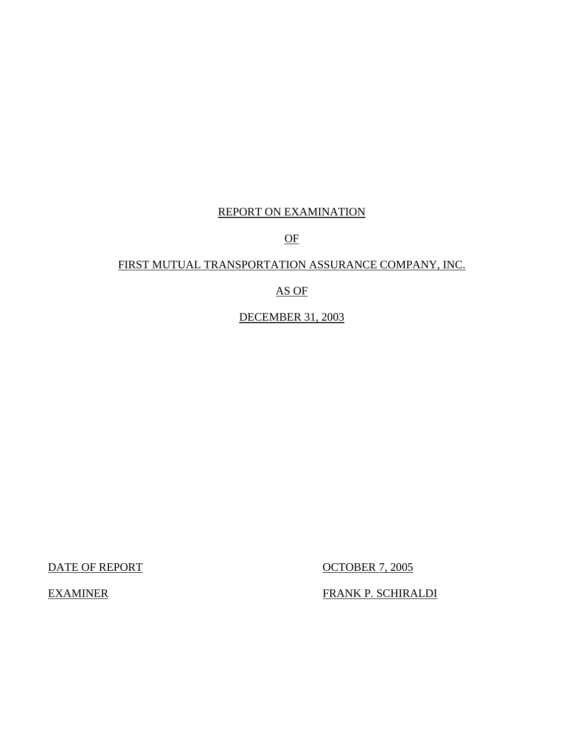## REPORT ON EXAMINATION

## OF

## FIRST MUTUAL TRANSPORTATION ASSURANCE COMPANY, INC.

## AS OF

## DECEMBER 31, 2003

DATE OF REPORT OCTOBER 7, 2005

EXAMINER FRANK P. SCHIRALDI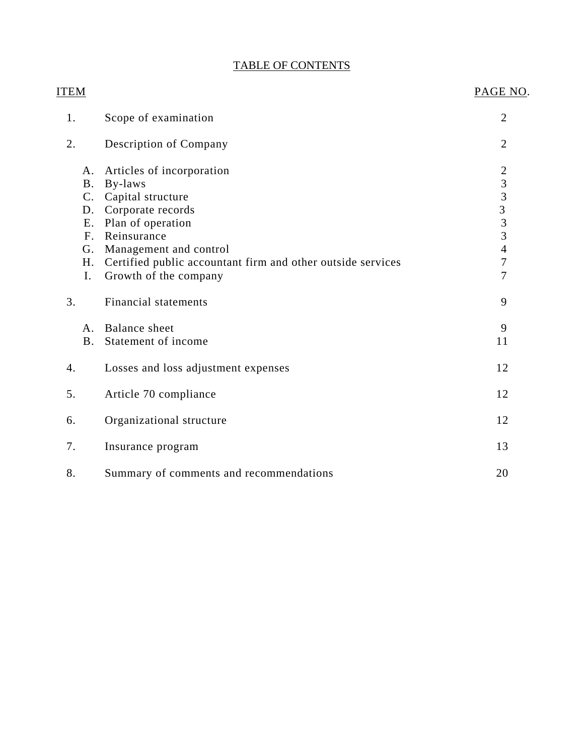## TABLE OF CONTENTS

| <b>ITEM</b>     |                                                             | PAGE NO.                                        |
|-----------------|-------------------------------------------------------------|-------------------------------------------------|
| 1.              | Scope of examination                                        | $\overline{2}$                                  |
| 2.              | Description of Company                                      | $\overline{2}$                                  |
| A.              | Articles of incorporation                                   | $\boldsymbol{2}$                                |
| Β.              | By-laws                                                     | $\overline{3}$                                  |
| $\mathcal{C}$ . | Capital structure                                           | $\begin{array}{c} 3 \\ 3 \\ 3 \\ 3 \end{array}$ |
| D.              | Corporate records                                           |                                                 |
| <b>E.</b>       | Plan of operation                                           |                                                 |
| F <sub>1</sub>  | Reinsurance                                                 |                                                 |
| G.              | Management and control                                      | $\overline{4}$                                  |
| Η.              | Certified public accountant firm and other outside services | $\overline{7}$                                  |
| I.              | Growth of the company                                       | 7                                               |
| 3.              | <b>Financial statements</b>                                 | 9                                               |
| A <sub>1</sub>  | <b>Balance</b> sheet                                        | 9                                               |
| B <sub>1</sub>  | Statement of income                                         | 11                                              |
| 4.              | Losses and loss adjustment expenses                         | 12                                              |
| 5.              | Article 70 compliance                                       | 12                                              |
| 6.              | Organizational structure                                    | 12                                              |
| 7.              | Insurance program                                           | 13                                              |
| 8.              | Summary of comments and recommendations                     | 20                                              |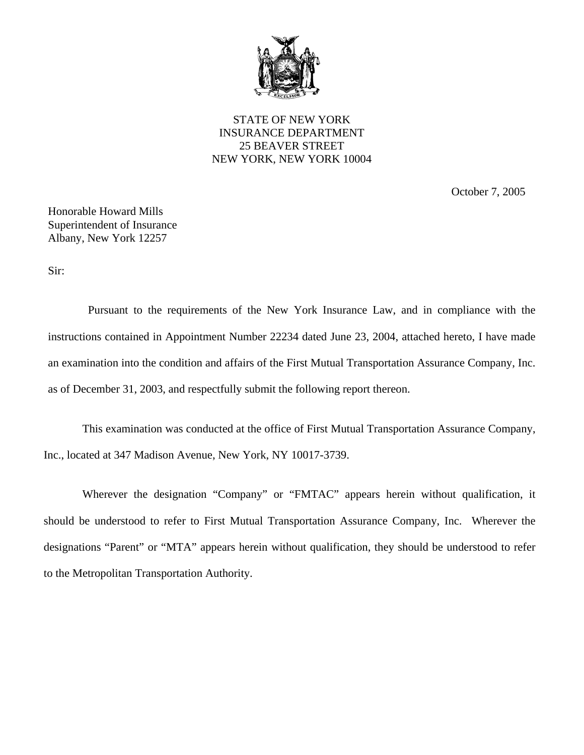

STATE OF NEW YORK INSURANCE DEPARTMENT 25 BEAVER STREET NEW YORK, NEW YORK 10004

October 7, 2005

Honorable Howard Mills Superintendent of Insurance Albany, New York 12257

Sir:

Pursuant to the requirements of the New York Insurance Law, and in compliance with the instructions contained in Appointment Number 22234 dated June 23, 2004, attached hereto, I have made an examination into the condition and affairs of the First Mutual Transportation Assurance Company, Inc. as of December 31, 2003, and respectfully submit the following report thereon.

This examination was conducted at the office of First Mutual Transportation Assurance Company, Inc., located at 347 Madison Avenue, New York, NY 10017-3739.

Wherever the designation "Company" or "FMTAC" appears herein without qualification, it should be understood to refer to First Mutual Transportation Assurance Company, Inc. Wherever the designations "Parent" or "MTA" appears herein without qualification, they should be understood to refer to the Metropolitan Transportation Authority.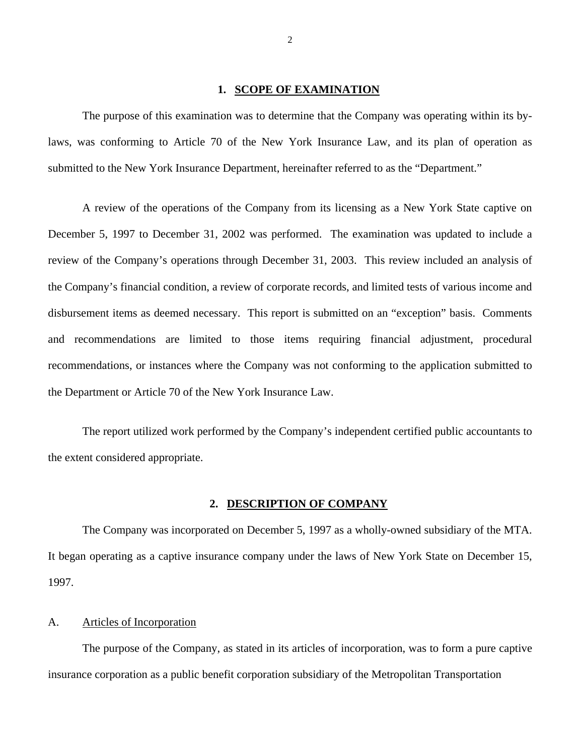#### **1. SCOPE OF EXAMINATION**

<span id="page-3-0"></span>The purpose of this examination was to determine that the Company was operating within its bylaws, was conforming to Article 70 of the New York Insurance Law, and its plan of operation as submitted to the New York Insurance Department, hereinafter referred to as the "Department."

A review of the operations of the Company from its licensing as a New York State captive on December 5, 1997 to December 31, 2002 was performed. The examination was updated to include a review of the Company's operations through December 31, 2003. This review included an analysis of the Company's financial condition, a review of corporate records, and limited tests of various income and disbursement items as deemed necessary. This report is submitted on an "exception" basis. Comments and recommendations are limited to those items requiring financial adjustment, procedural recommendations, or instances where the Company was not conforming to the application submitted to the Department or Article 70 of the New York Insurance Law.

The report utilized work performed by the Company's independent certified public accountants to the extent considered appropriate.

#### **2. DESCRIPTION OF COMPANY**

The Company was incorporated on December 5, 1997 as a wholly-owned subsidiary of the MTA. It began operating as a captive insurance company under the laws of New York State on December 15, 1997.

#### A. Articles of Incorporation

The purpose of the Company, as stated in its articles of incorporation, was to form a pure captive insurance corporation as a public benefit corporation subsidiary of the Metropolitan Transportation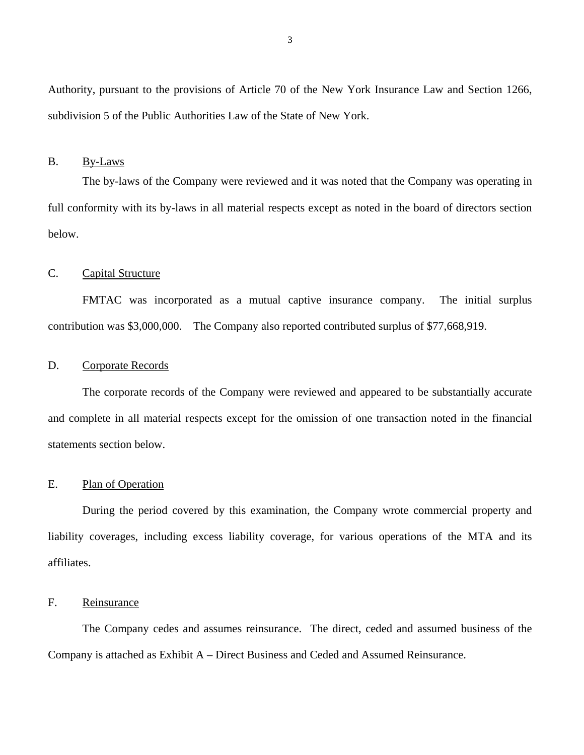<span id="page-4-0"></span>Authority, pursuant to the provisions of Article 70 of the New York Insurance Law and Section 1266, subdivision 5 of the Public Authorities Law of the State of New York.

#### B. By-Laws

The by-laws of the Company were reviewed and it was noted that the Company was operating in full conformity with its by-laws in all material respects except as noted in the board of directors section below.

### C. Capital Structure

FMTAC was incorporated as a mutual captive insurance company. The initial surplus contribution was \$3,000,000. The Company also reported contributed surplus of \$77,668,919.

#### D. Corporate Records

The corporate records of the Company were reviewed and appeared to be substantially accurate and complete in all material respects except for the omission of one transaction noted in the financial statements section below.

### E. Plan of Operation

During the period covered by this examination, the Company wrote commercial property and liability coverages, including excess liability coverage, for various operations of the MTA and its affiliates.

### F. Reinsurance

The Company cedes and assumes reinsurance. The direct, ceded and assumed business of the Company is attached as Exhibit A – Direct Business and Ceded and Assumed Reinsurance.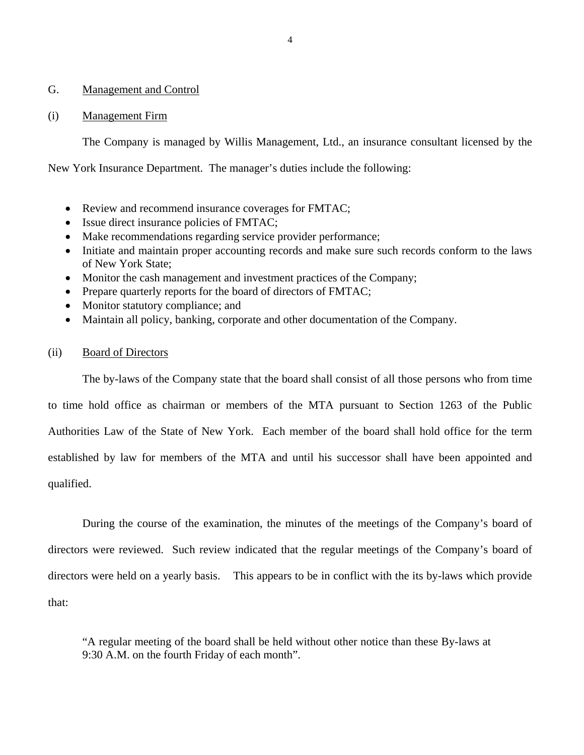### <span id="page-5-0"></span>G. Management and Control

#### (i) Management Firm

The Company is managed by Willis Management, Ltd., an insurance consultant licensed by the

New York Insurance Department. The manager's duties include the following:

- Review and recommend insurance coverages for FMTAC;
- Issue direct insurance policies of FMTAC;
- Make recommendations regarding service provider performance;
- Initiate and maintain proper accounting records and make sure such records conform to the laws of New York State;
- Monitor the cash management and investment practices of the Company;
- Prepare quarterly reports for the board of directors of FMTAC;
- Monitor statutory compliance; and
- Maintain all policy, banking, corporate and other documentation of the Company.

### (ii) Board of Directors

The by-laws of the Company state that the board shall consist of all those persons who from time to time hold office as chairman or members of the MTA pursuant to Section 1263 of the Public Authorities Law of the State of New York. Each member of the board shall hold office for the term established by law for members of the MTA and until his successor shall have been appointed and

qualified.

During the course of the examination, the minutes of the meetings of the Company's board of directors were reviewed. Such review indicated that the regular meetings of the Company's board of directors were held on a yearly basis. This appears to be in conflict with the its by-laws which provide that:

"A regular meeting of the board shall be held without other notice than these By-laws at 9:30 A.M. on the fourth Friday of each month".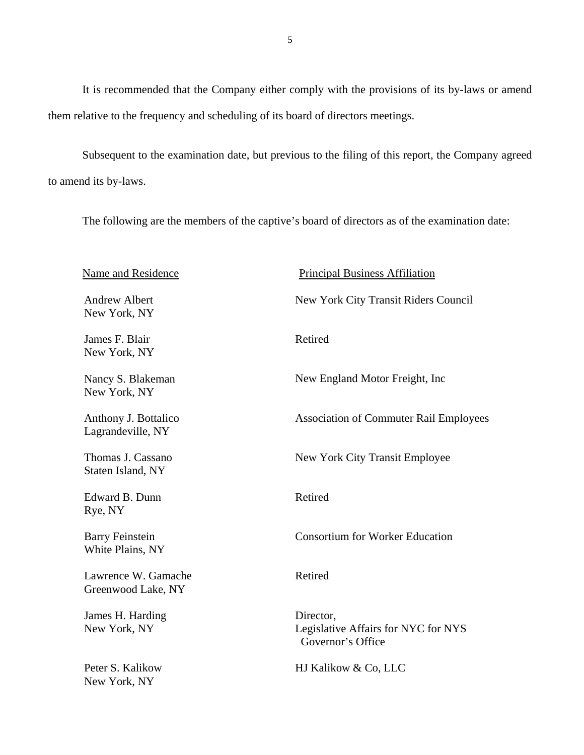It is recommended that the Company either comply with the provisions of its by-laws or amend them relative to the frequency and scheduling of its board of directors meetings.

Subsequent to the examination date, but previous to the filing of this report, the Company agreed to amend its by-laws.

The following are the members of the captive's board of directors as of the examination date:

| <b>Name and Residence</b>                  | <b>Principal Business Affiliation</b>                                 |
|--------------------------------------------|-----------------------------------------------------------------------|
| <b>Andrew Albert</b><br>New York, NY       | New York City Transit Riders Council                                  |
| James F. Blair<br>New York, NY             | Retired                                                               |
| Nancy S. Blakeman<br>New York, NY          | New England Motor Freight, Inc.                                       |
| Anthony J. Bottalico<br>Lagrandeville, NY  | <b>Association of Commuter Rail Employees</b>                         |
| Thomas J. Cassano<br>Staten Island, NY     | New York City Transit Employee                                        |
| Edward B. Dunn<br>Rye, NY                  | Retired                                                               |
| <b>Barry Feinstein</b><br>White Plains, NY | <b>Consortium for Worker Education</b>                                |
| Lawrence W. Gamache<br>Greenwood Lake, NY  | Retired                                                               |
| James H. Harding<br>New York, NY           | Director,<br>Legislative Affairs for NYC for NYS<br>Governor's Office |
| Peter S. Kalikow<br>New York, NY           | HJ Kalikow & Co, LLC                                                  |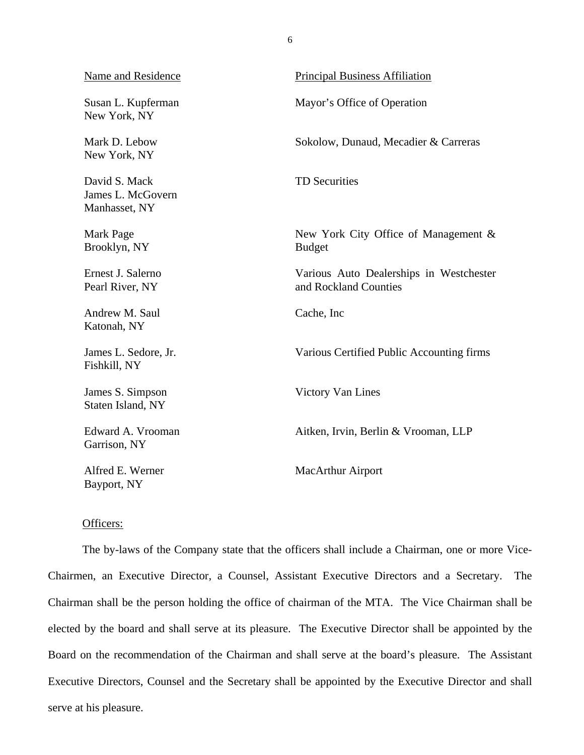| Name and Residence                                  | <b>Principal Business Affiliation</b>                            |
|-----------------------------------------------------|------------------------------------------------------------------|
| Susan L. Kupferman<br>New York, NY                  | Mayor's Office of Operation                                      |
| Mark D. Lebow<br>New York, NY                       | Sokolow, Dunaud, Mecadier & Carreras                             |
| David S. Mack<br>James L. McGovern<br>Manhasset, NY | <b>TD Securities</b>                                             |
| Mark Page<br>Brooklyn, NY                           | New York City Office of Management &<br><b>Budget</b>            |
| Ernest J. Salerno<br>Pearl River, NY                | Various Auto Dealerships in Westchester<br>and Rockland Counties |
| Andrew M. Saul<br>Katonah, NY                       | Cache, Inc.                                                      |
| James L. Sedore, Jr.<br>Fishkill, NY                | Various Certified Public Accounting firms                        |
| James S. Simpson<br>Staten Island, NY               | Victory Van Lines                                                |
| Edward A. Vrooman<br>Garrison, NY                   | Aitken, Irvin, Berlin & Vrooman, LLP                             |
| Alfred E. Werner<br>Bayport, NY                     | <b>MacArthur Airport</b>                                         |

## Officers:

The by-laws of the Company state that the officers shall include a Chairman, one or more Vice-Chairmen, an Executive Director, a Counsel, Assistant Executive Directors and a Secretary. The Chairman shall be the person holding the office of chairman of the MTA. The Vice Chairman shall be elected by the board and shall serve at its pleasure. The Executive Director shall be appointed by the Board on the recommendation of the Chairman and shall serve at the board's pleasure. The Assistant Executive Directors, Counsel and the Secretary shall be appointed by the Executive Director and shall serve at his pleasure.

6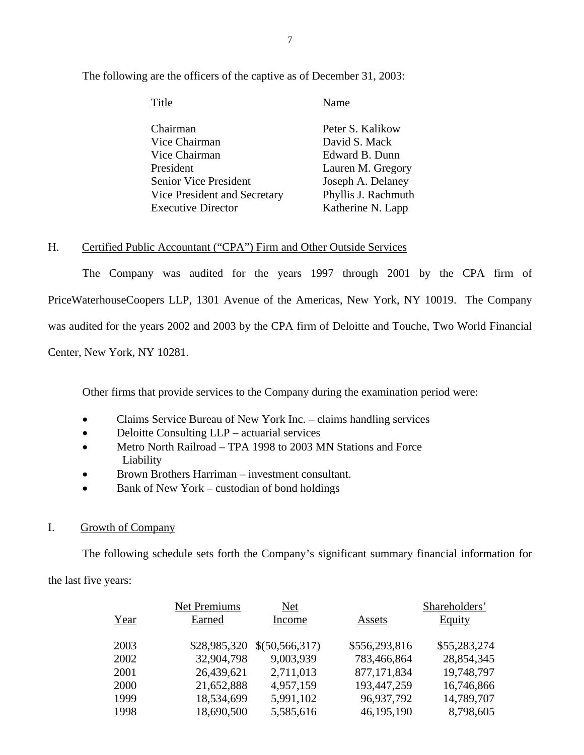| Title                        | Name                |
|------------------------------|---------------------|
| Chairman                     | Peter S. Kalikow    |
| Vice Chairman                | David S. Mack       |
| Vice Chairman                | Edward B. Dunn      |
| President                    | Lauren M. Gregory   |
| <b>Senior Vice President</b> | Joseph A. Delaney   |
| Vice President and Secretary | Phyllis J. Rachmuth |
| <b>Executive Director</b>    | Katherine N. Lapp   |

<span id="page-8-0"></span>The following are the officers of the captive as of December 31, 2003:

## H. Certified Public Accountant ("CPA") Firm and Other Outside Services

The Company was audited for the years 1997 through 2001 by the CPA firm of PriceWaterhouseCoopers LLP, 1301 Avenue of the Americas, New York, NY 10019. The Company was audited for the years 2002 and 2003 by the CPA firm of Deloitte and Touche, Two World Financial Center, New York, NY 10281.

Other firms that provide services to the Company during the examination period were:

- Claims Service Bureau of New York Inc. claims handling services
- Deloitte Consulting LLP actuarial services
- Metro North Railroad TPA 1998 to 2003 MN Stations and Force Liability
- Brown Brothers Harriman investment consultant.
- Bank of New York custodian of bond holdings

## I. Growth of Company

The following schedule sets forth the Company's significant summary financial information for

the last five years:

|      | <b>Net Premiums</b> | Net            |               | Shareholders' |
|------|---------------------|----------------|---------------|---------------|
| Year | Earned              | Income         | Assets        | <b>Equity</b> |
|      |                     |                |               |               |
| 2003 | \$28,985,320        | \$(50,566,317) | \$556,293,816 | \$55,283,274  |
| 2002 | 32,904,798          | 9,003,939      | 783,466,864   | 28,854,345    |
| 2001 | 26,439,621          | 2,711,013      | 877,171,834   | 19,748,797    |
| 2000 | 21,652,888          | 4,957,159      | 193,447,259   | 16,746,866    |
| 1999 | 18,534,699          | 5,991,102      | 96,937,792    | 14,789,707    |
| 1998 | 18,690,500          | 5,585,616      | 46,195,190    | 8,798,605     |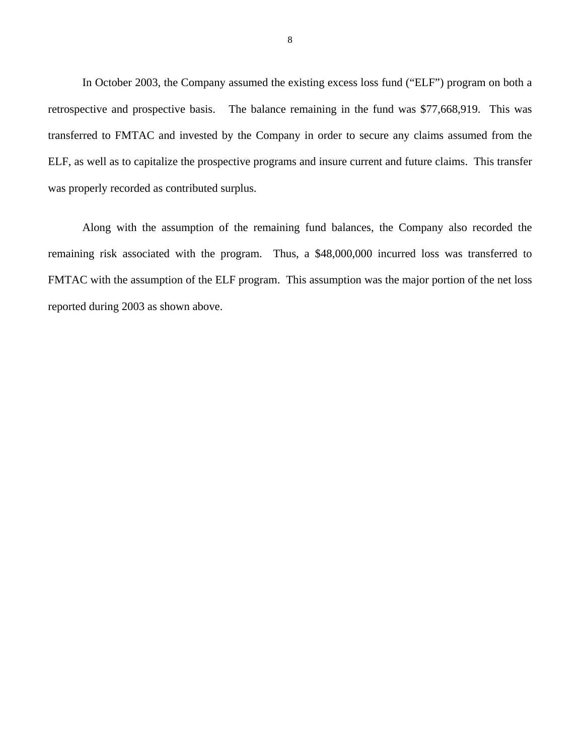In October 2003, the Company assumed the existing excess loss fund ("ELF") program on both a retrospective and prospective basis. The balance remaining in the fund was \$77,668,919. This was transferred to FMTAC and invested by the Company in order to secure any claims assumed from the ELF, as well as to capitalize the prospective programs and insure current and future claims. This transfer was properly recorded as contributed surplus.

Along with the assumption of the remaining fund balances, the Company also recorded the remaining risk associated with the program. Thus, a \$48,000,000 incurred loss was transferred to FMTAC with the assumption of the ELF program. This assumption was the major portion of the net loss reported during 2003 as shown above.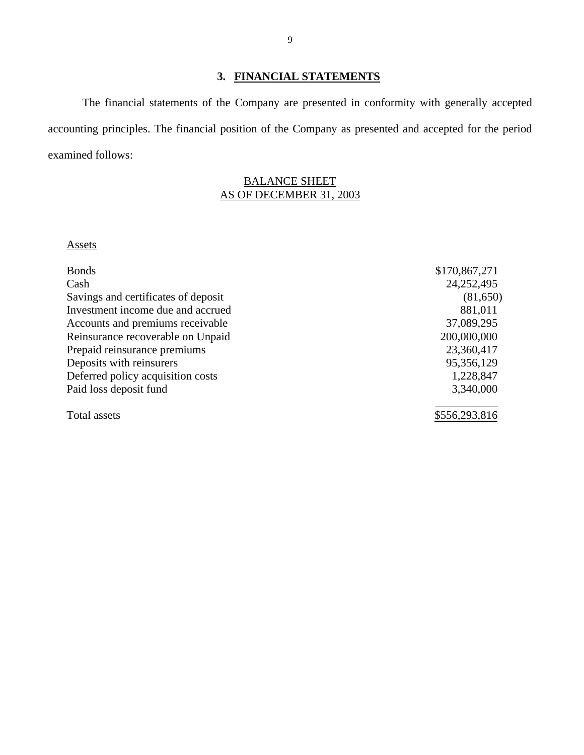## **3. FINANCIAL STATEMENTS**

<span id="page-10-0"></span>The financial statements of the Company are presented in conformity with generally accepted accounting principles. The financial position of the Company as presented and accepted for the period examined follows:

## BALANCE SHEET AS OF DECEMBER 31, 2003

#### **Assets**

| <b>Bonds</b>                        | \$170,867,271 |
|-------------------------------------|---------------|
| Cash                                | 24,252,495    |
| Savings and certificates of deposit | (81,650)      |
| Investment income due and accrued   | 881,011       |
| Accounts and premiums receivable    | 37,089,295    |
| Reinsurance recoverable on Unpaid   | 200,000,000   |
| Prepaid reinsurance premiums        | 23,360,417    |
| Deposits with reinsurers            | 95,356,129    |
| Deferred policy acquisition costs   | 1,228,847     |
| Paid loss deposit fund              | 3,340,000     |
| Total assets                        | \$556,293,816 |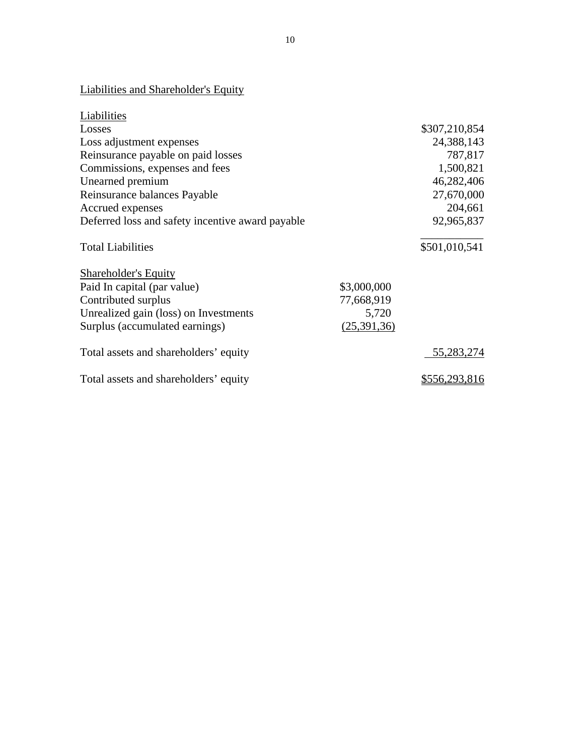## Liabilities and Shareholder's Equity

| Liabilities                                      |             |               |
|--------------------------------------------------|-------------|---------------|
| Losses                                           |             | \$307,210,854 |
| Loss adjustment expenses                         |             | 24,388,143    |
| Reinsurance payable on paid losses               |             | 787,817       |
| Commissions, expenses and fees                   |             | 1,500,821     |
| Unearned premium                                 |             | 46,282,406    |
| Reinsurance balances Payable                     |             | 27,670,000    |
| Accrued expenses                                 |             | 204,661       |
| Deferred loss and safety incentive award payable |             | 92,965,837    |
| <b>Total Liabilities</b>                         |             | \$501,010,541 |
| <b>Shareholder's Equity</b>                      |             |               |
| Paid In capital (par value)                      | \$3,000,000 |               |
| Contributed surplus                              | 77,668,919  |               |
| Unrealized gain (loss) on Investments            | 5,720       |               |
| Surplus (accumulated earnings)                   | (25,391,36) |               |
| Total assets and shareholders' equity            |             | 55,283,274    |
| Total assets and shareholders' equity            |             | \$556,293,816 |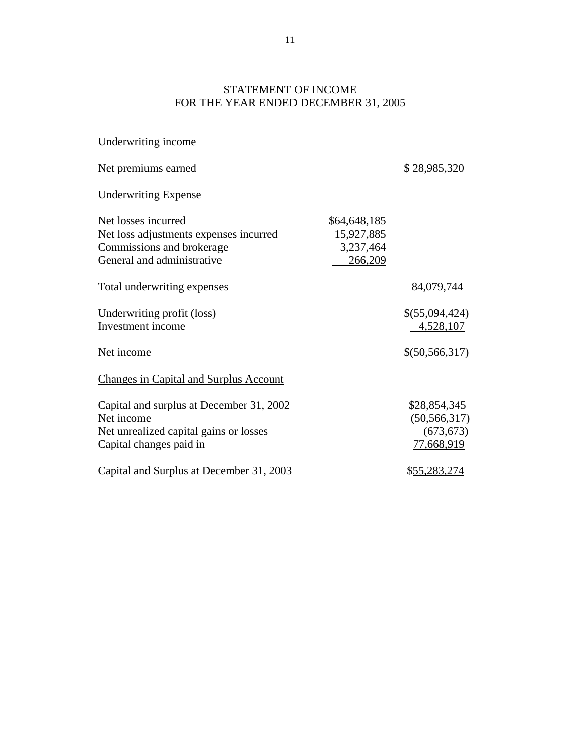## STATEMENT OF INCOME FOR THE YEAR ENDED DECEMBER 31, 2005

| Underwriting income                           |              |                  |
|-----------------------------------------------|--------------|------------------|
| Net premiums earned                           |              | \$28,985,320     |
| <b>Underwriting Expense</b>                   |              |                  |
| Net losses incurred                           | \$64,648,185 |                  |
| Net loss adjustments expenses incurred        | 15,927,885   |                  |
| Commissions and brokerage                     | 3,237,464    |                  |
| General and administrative                    | 266,209      |                  |
| Total underwriting expenses                   |              | 84,079,744       |
| Underwriting profit (loss)                    |              | \$(55,094,424)   |
| Investment income                             |              | 4,528,107        |
| Net income                                    |              | $$$ (50,566,317) |
| <b>Changes in Capital and Surplus Account</b> |              |                  |
| Capital and surplus at December 31, 2002      |              | \$28,854,345     |
| Net income                                    |              | (50, 566, 317)   |
| Net unrealized capital gains or losses        |              | (673, 673)       |
| Capital changes paid in                       |              | 77,668,919       |
| Capital and Surplus at December 31, 2003      |              | \$55,283,274     |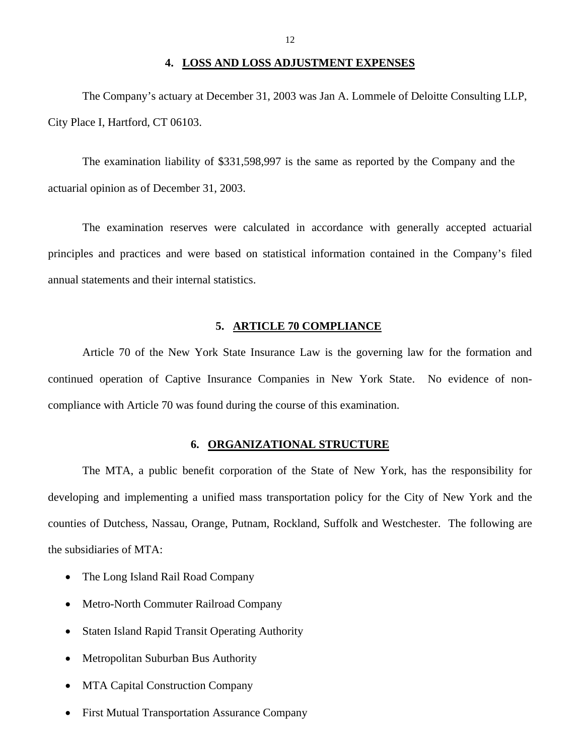#### **4. LOSS AND LOSS ADJUSTMENT EXPENSES**

<span id="page-13-0"></span>The Company's actuary at December 31, 2003 was Jan A. Lommele of Deloitte Consulting LLP, City Place I, Hartford, CT 06103.

The examination liability of \$331,598,997 is the same as reported by the Company and the actuarial opinion as of December 31, 2003.

The examination reserves were calculated in accordance with generally accepted actuarial principles and practices and were based on statistical information contained in the Company's filed annual statements and their internal statistics.

#### **5. ARTICLE 70 COMPLIANCE**

Article 70 of the New York State Insurance Law is the governing law for the formation and continued operation of Captive Insurance Companies in New York State. No evidence of noncompliance with Article 70 was found during the course of this examination.

### **6. ORGANIZATIONAL STRUCTURE**

The MTA, a public benefit corporation of the State of New York, has the responsibility for developing and implementing a unified mass transportation policy for the City of New York and the counties of Dutchess, Nassau, Orange, Putnam, Rockland, Suffolk and Westchester. The following are the subsidiaries of MTA:

- The Long Island Rail Road Company
- Metro-North Commuter Railroad Company
- Staten Island Rapid Transit Operating Authority
- Metropolitan Suburban Bus Authority
- MTA Capital Construction Company
- First Mutual Transportation Assurance Company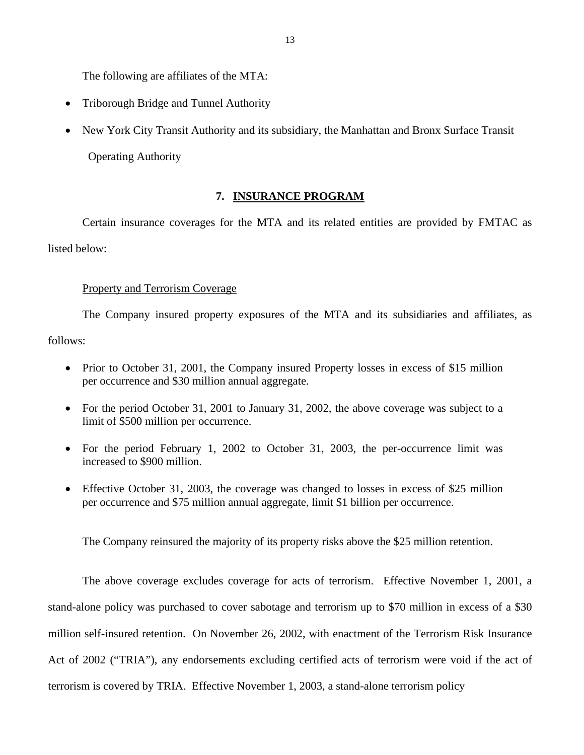<span id="page-14-0"></span>The following are affiliates of the MTA:

- Triborough Bridge and Tunnel Authority
- New York City Transit Authority and its subsidiary, the Manhattan and Bronx Surface Transit Operating Authority

### **7. INSURANCE PROGRAM**

Certain insurance coverages for the MTA and its related entities are provided by FMTAC as listed below:

#### Property and Terrorism Coverage

The Company insured property exposures of the MTA and its subsidiaries and affiliates, as follows:

- Prior to October 31, 2001, the Company insured Property losses in excess of \$15 million per occurrence and \$30 million annual aggregate.
- For the period October 31, 2001 to January 31, 2002, the above coverage was subject to a limit of \$500 million per occurrence.
- For the period February 1, 2002 to October 31, 2003, the per-occurrence limit was increased to \$900 million.
- Effective October 31, 2003, the coverage was changed to losses in excess of \$25 million per occurrence and \$75 million annual aggregate, limit \$1 billion per occurrence.

The Company reinsured the majority of its property risks above the \$25 million retention.

The above coverage excludes coverage for acts of terrorism. Effective November 1, 2001, a stand-alone policy was purchased to cover sabotage and terrorism up to \$70 million in excess of a \$30 million self-insured retention. On November 26, 2002, with enactment of the Terrorism Risk Insurance Act of 2002 ("TRIA"), any endorsements excluding certified acts of terrorism were void if the act of terrorism is covered by TRIA. Effective November 1, 2003, a stand-alone terrorism policy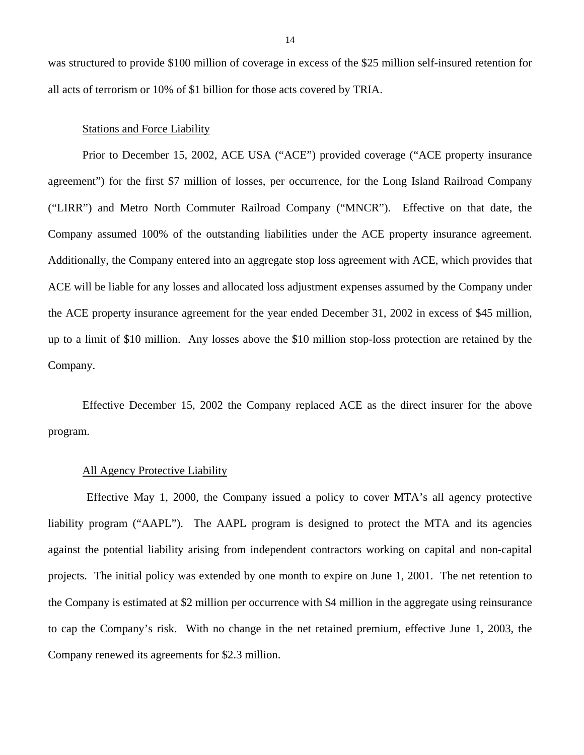was structured to provide \$100 million of coverage in excess of the \$25 million self-insured retention for all acts of terrorism or 10% of \$1 billion for those acts covered by TRIA.

#### Stations and Force Liability

Prior to December 15, 2002, ACE USA ("ACE") provided coverage ("ACE property insurance agreement") for the first \$7 million of losses, per occurrence, for the Long Island Railroad Company ("LIRR") and Metro North Commuter Railroad Company ("MNCR"). Effective on that date, the Company assumed 100% of the outstanding liabilities under the ACE property insurance agreement. Additionally, the Company entered into an aggregate stop loss agreement with ACE, which provides that ACE will be liable for any losses and allocated loss adjustment expenses assumed by the Company under the ACE property insurance agreement for the year ended December 31, 2002 in excess of \$45 million, up to a limit of \$10 million. Any losses above the \$10 million stop-loss protection are retained by the Company.

Effective December 15, 2002 the Company replaced ACE as the direct insurer for the above program.

#### All Agency Protective Liability

Effective May 1, 2000, the Company issued a policy to cover MTA's all agency protective liability program ("AAPL"). The AAPL program is designed to protect the MTA and its agencies against the potential liability arising from independent contractors working on capital and non-capital projects. The initial policy was extended by one month to expire on June 1, 2001. The net retention to the Company is estimated at \$2 million per occurrence with \$4 million in the aggregate using reinsurance to cap the Company's risk. With no change in the net retained premium, effective June 1, 2003, the Company renewed its agreements for \$2.3 million.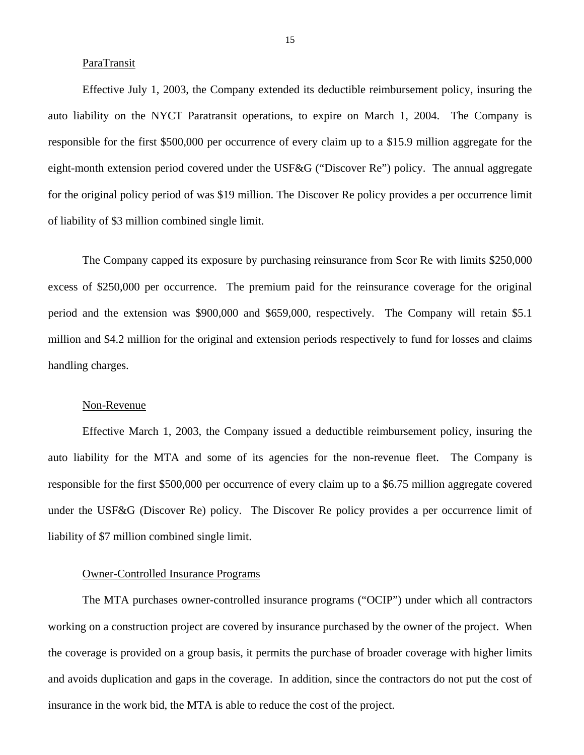#### ParaTransit

Effective July 1, 2003, the Company extended its deductible reimbursement policy, insuring the auto liability on the NYCT Paratransit operations, to expire on March 1, 2004. The Company is responsible for the first \$500,000 per occurrence of every claim up to a \$15.9 million aggregate for the eight-month extension period covered under the USF&G ("Discover Re") policy. The annual aggregate for the original policy period of was \$19 million. The Discover Re policy provides a per occurrence limit of liability of \$3 million combined single limit.

The Company capped its exposure by purchasing reinsurance from Scor Re with limits \$250,000 excess of \$250,000 per occurrence. The premium paid for the reinsurance coverage for the original period and the extension was \$900,000 and \$659,000, respectively. The Company will retain \$5.1 million and \$4.2 million for the original and extension periods respectively to fund for losses and claims handling charges.

#### Non-Revenue

Effective March 1, 2003, the Company issued a deductible reimbursement policy, insuring the auto liability for the MTA and some of its agencies for the non-revenue fleet. The Company is responsible for the first \$500,000 per occurrence of every claim up to a \$6.75 million aggregate covered under the USF&G (Discover Re) policy. The Discover Re policy provides a per occurrence limit of liability of \$7 million combined single limit.

#### Owner-Controlled Insurance Programs

The MTA purchases owner-controlled insurance programs ("OCIP") under which all contractors working on a construction project are covered by insurance purchased by the owner of the project. When the coverage is provided on a group basis, it permits the purchase of broader coverage with higher limits and avoids duplication and gaps in the coverage. In addition, since the contractors do not put the cost of insurance in the work bid, the MTA is able to reduce the cost of the project.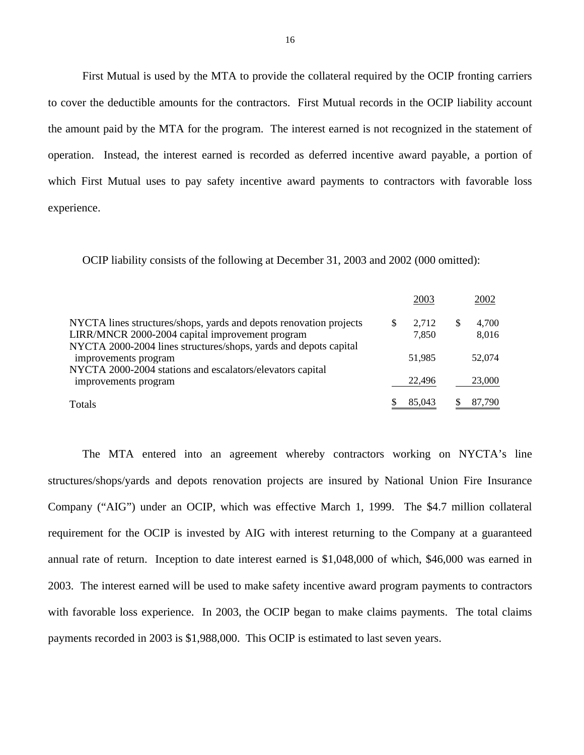First Mutual is used by the MTA to provide the collateral required by the OCIP fronting carriers to cover the deductible amounts for the contractors. First Mutual records in the OCIP liability account the amount paid by the MTA for the program. The interest earned is not recognized in the statement of operation. Instead, the interest earned is recorded as deferred incentive award payable, a portion of which First Mutual uses to pay safety incentive award payments to contractors with favorable loss experience.

OCIP liability consists of the following at December 31, 2003 and 2002 (000 omitted):

|                                                                                                                       | 2003                 | 2002           |
|-----------------------------------------------------------------------------------------------------------------------|----------------------|----------------|
| NYCTA lines structures/shops, yards and depots renovation projects<br>LIRR/MNCR 2000-2004 capital improvement program | \$<br>2,712<br>7,850 | 4,700<br>8,016 |
| NYCTA 2000-2004 lines structures/shops, yards and depots capital<br>improvements program                              | 51.985               | 52,074         |
| NYCTA 2000-2004 stations and escalators/elevators capital<br>improvements program                                     | 22,496               | 23,000         |
| <b>Totals</b>                                                                                                         | 85,043               | 87,790         |

The MTA entered into an agreement whereby contractors working on NYCTA's line structures/shops/yards and depots renovation projects are insured by National Union Fire Insurance Company ("AIG") under an OCIP, which was effective March 1, 1999. The \$4.7 million collateral requirement for the OCIP is invested by AIG with interest returning to the Company at a guaranteed annual rate of return. Inception to date interest earned is \$1,048,000 of which, \$46,000 was earned in 2003. The interest earned will be used to make safety incentive award program payments to contractors with favorable loss experience. In 2003, the OCIP began to make claims payments. The total claims payments recorded in 2003 is \$1,988,000. This OCIP is estimated to last seven years.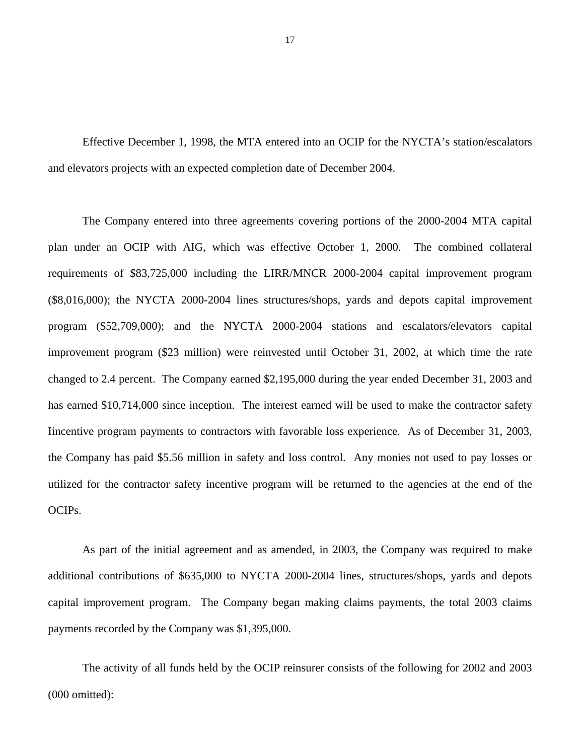Effective December 1, 1998, the MTA entered into an OCIP for the NYCTA's station/escalators and elevators projects with an expected completion date of December 2004.

The Company entered into three agreements covering portions of the 2000-2004 MTA capital plan under an OCIP with AIG, which was effective October 1, 2000. The combined collateral requirements of \$83,725,000 including the LIRR/MNCR 2000-2004 capital improvement program (\$8,016,000); the NYCTA 2000-2004 lines structures/shops, yards and depots capital improvement program (\$52,709,000); and the NYCTA 2000-2004 stations and escalators/elevators capital improvement program (\$23 million) were reinvested until October 31, 2002, at which time the rate changed to 2.4 percent. The Company earned \$2,195,000 during the year ended December 31, 2003 and has earned \$10,714,000 since inception. The interest earned will be used to make the contractor safety Iincentive program payments to contractors with favorable loss experience. As of December 31, 2003, the Company has paid \$5.56 million in safety and loss control. Any monies not used to pay losses or utilized for the contractor safety incentive program will be returned to the agencies at the end of the OCIPs.

As part of the initial agreement and as amended, in 2003, the Company was required to make additional contributions of \$635,000 to NYCTA 2000-2004 lines, structures/shops, yards and depots capital improvement program. The Company began making claims payments, the total 2003 claims payments recorded by the Company was \$1,395,000.

The activity of all funds held by the OCIP reinsurer consists of the following for 2002 and 2003 (000 omitted):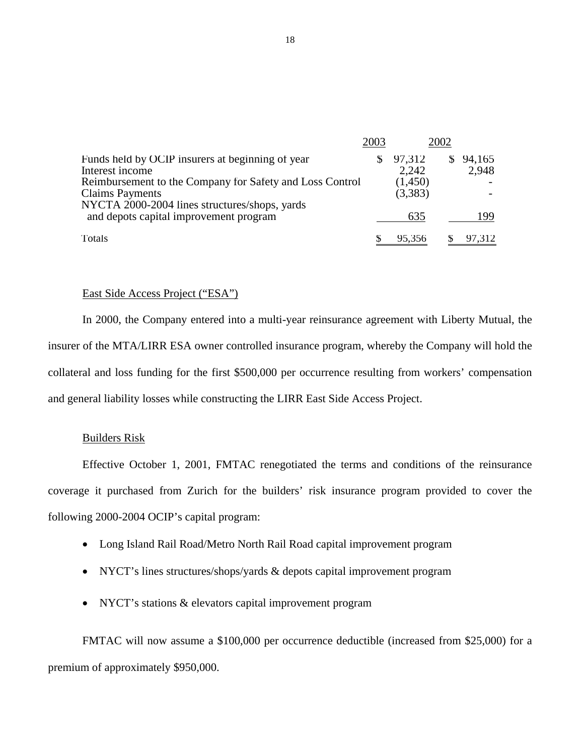|                                                                                                                                     | 2003 |                    | 2002 |                 |
|-------------------------------------------------------------------------------------------------------------------------------------|------|--------------------|------|-----------------|
| Funds held by OCIP insurers at beginning of year<br>Interest income                                                                 | S    | 97,312<br>2,242    | S.   | 94,165<br>2,948 |
| Reimbursement to the Company for Safety and Loss Control<br><b>Claims Payments</b><br>NYCTA 2000-2004 lines structures/shops, yards |      | (1,450)<br>(3,383) |      |                 |
| and depots capital improvement program                                                                                              |      | 635                |      | 199             |
| Totals                                                                                                                              |      | 95,356             |      | 97,312          |

### East Side Access Project ("ESA")

In 2000, the Company entered into a multi-year reinsurance agreement with Liberty Mutual, the insurer of the MTA/LIRR ESA owner controlled insurance program, whereby the Company will hold the collateral and loss funding for the first \$500,000 per occurrence resulting from workers' compensation and general liability losses while constructing the LIRR East Side Access Project.

#### Builders Risk

Effective October 1, 2001, FMTAC renegotiated the terms and conditions of the reinsurance coverage it purchased from Zurich for the builders' risk insurance program provided to cover the following 2000-2004 OCIP's capital program:

- Long Island Rail Road/Metro North Rail Road capital improvement program
- NYCT's lines structures/shops/yards & depots capital improvement program
- NYCT's stations & elevators capital improvement program

FMTAC will now assume a \$100,000 per occurrence deductible (increased from \$25,000) for a premium of approximately \$950,000.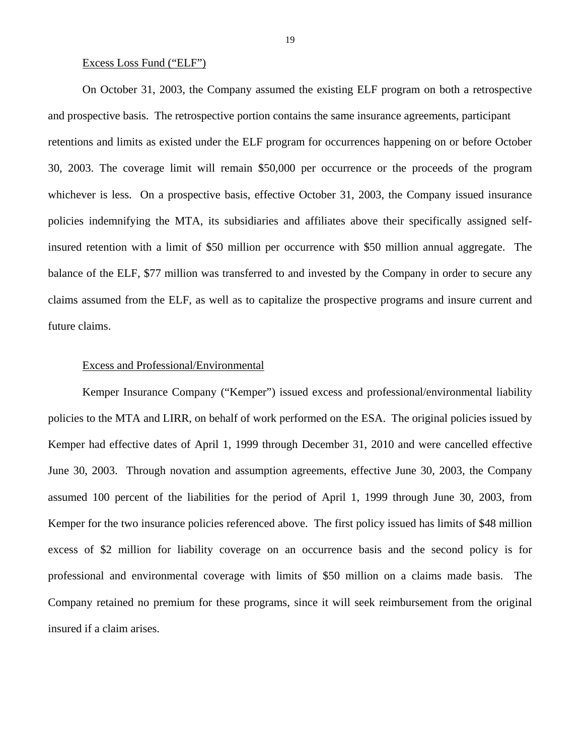#### Excess Loss Fund ("ELF")

On October 31, 2003, the Company assumed the existing ELF program on both a retrospective and prospective basis. The retrospective portion contains the same insurance agreements, participant retentions and limits as existed under the ELF program for occurrences happening on or before October 30, 2003. The coverage limit will remain \$50,000 per occurrence or the proceeds of the program whichever is less. On a prospective basis, effective October 31, 2003, the Company issued insurance policies indemnifying the MTA, its subsidiaries and affiliates above their specifically assigned selfinsured retention with a limit of \$50 million per occurrence with \$50 million annual aggregate. The balance of the ELF, \$77 million was transferred to and invested by the Company in order to secure any claims assumed from the ELF, as well as to capitalize the prospective programs and insure current and future claims.

#### Excess and Professional/Environmental

Kemper Insurance Company ("Kemper") issued excess and professional/environmental liability policies to the MTA and LIRR, on behalf of work performed on the ESA. The original policies issued by Kemper had effective dates of April 1, 1999 through December 31, 2010 and were cancelled effective June 30, 2003. Through novation and assumption agreements, effective June 30, 2003, the Company assumed 100 percent of the liabilities for the period of April 1, 1999 through June 30, 2003, from Kemper for the two insurance policies referenced above. The first policy issued has limits of \$48 million excess of \$2 million for liability coverage on an occurrence basis and the second policy is for professional and environmental coverage with limits of \$50 million on a claims made basis. The Company retained no premium for these programs, since it will seek reimbursement from the original insured if a claim arises.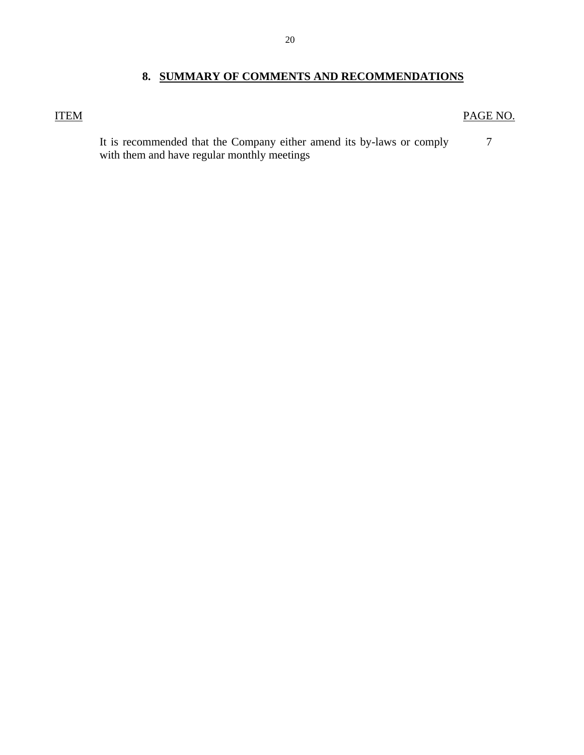## **8. SUMMARY OF COMMENTS AND RECOMMENDATIONS**

## <span id="page-21-0"></span>ITEM PAGE NO.

7 It is recommended that the Company either amend its by-laws or comply with them and have regular monthly meetings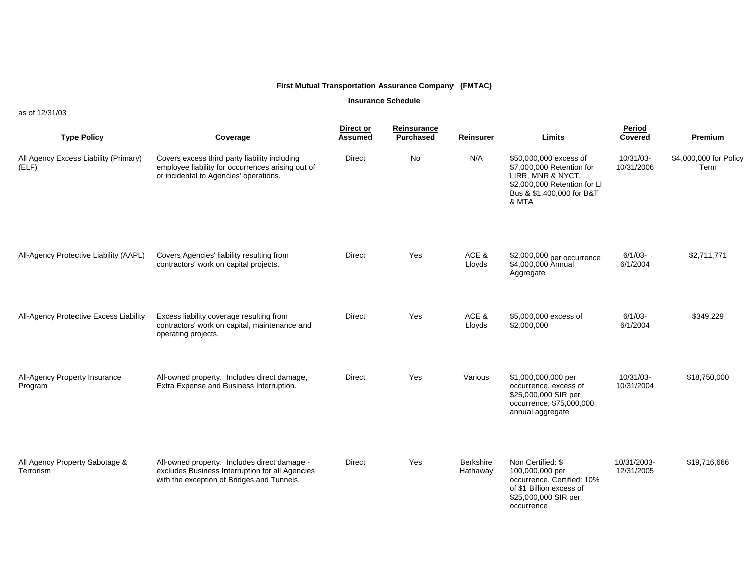#### **Insurance Schedule**

as of 12/31/03

| <b>Type Policy</b>                             | Coverage                                                                                                                                      | Direct or<br><b>Assumed</b> | Reinsurance<br>Purchased | Reinsurer                    | Limits                                                                                                                                         | Period<br>Covered         | <b>Premium</b>                 |
|------------------------------------------------|-----------------------------------------------------------------------------------------------------------------------------------------------|-----------------------------|--------------------------|------------------------------|------------------------------------------------------------------------------------------------------------------------------------------------|---------------------------|--------------------------------|
| All Agency Excess Liability (Primary)<br>(ELF) | Covers excess third party liability including<br>employee liability for occurrences arising out of<br>or incidental to Agencies' operations.  | <b>Direct</b>               | No                       | N/A                          | \$50,000,000 excess of<br>\$7,000,000 Retention for<br>LIRR, MNR & NYCT,<br>\$2,000,000 Retention for LI<br>Bus & \$1,400,000 for B&T<br>& MTA | 10/31/03-<br>10/31/2006   | \$4,000,000 for Policy<br>Term |
| All-Agency Protective Liability (AAPL)         | Covers Agencies' liability resulting from<br>contractors' work on capital projects.                                                           | <b>Direct</b>               | Yes                      | ACE &<br>Lloyds              | \$2,000,000 per occurrence<br>\$4,000,000 Annual<br>Aggregate                                                                                  | $6/1/03 -$<br>6/1/2004    | \$2,711,771                    |
| All-Agency Protective Excess Liability         | Excess liability coverage resulting from<br>contractors' work on capital, maintenance and<br>operating projects.                              | <b>Direct</b>               | Yes                      | ACE &<br>Lloyds              | \$5,000,000 excess of<br>\$2,000,000                                                                                                           | $6/1/03 -$<br>6/1/2004    | \$349,229                      |
| All-Agency Property Insurance<br>Program       | All-owned property. Includes direct damage,<br>Extra Expense and Business Interruption.                                                       | <b>Direct</b>               | Yes                      | Various                      | \$1,000,000,000 per<br>occurrence, excess of<br>\$25,000,000 SIR per<br>occurrence, \$75,000,000<br>annual aggregate                           | 10/31/03-<br>10/31/2004   | \$18,750,000                   |
| All Agency Property Sabotage &<br>Terrorism    | All-owned property. Includes direct damage -<br>excludes Business Interruption for all Agencies<br>with the exception of Bridges and Tunnels. | <b>Direct</b>               | Yes                      | <b>Berkshire</b><br>Hathaway | Non Certified: \$<br>100,000,000 per<br>occurrence, Certified: 10%<br>of \$1 Billion excess of<br>\$25,000,000 SIR per<br>occurrence           | 10/31/2003-<br>12/31/2005 | \$19,716,666                   |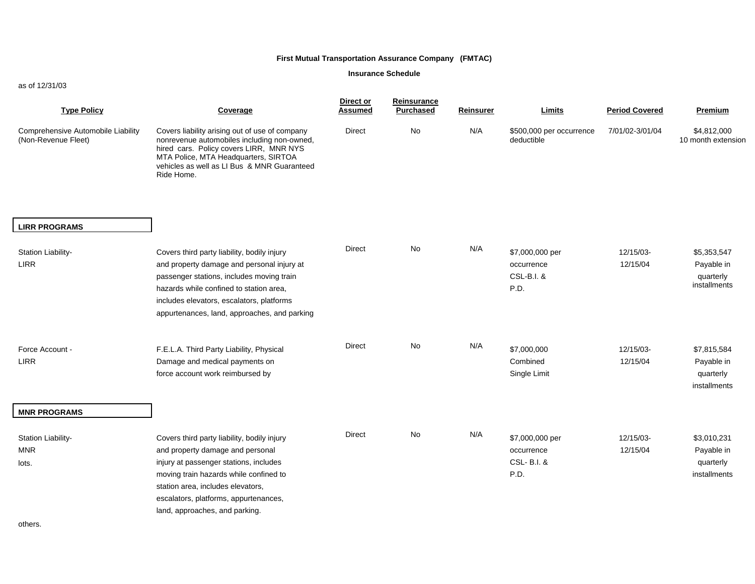#### **Insurance Schedule**

#### as of 12/31/03

| <b>Type Policy</b>                                               | Coverage                                                                                                                                                                                                                                                                            | Direct or<br><u>Assumed</u> | Reinsurance<br><b>Purchased</b> | <b>Reinsurer</b> | Limits                                              | <b>Period Covered</b> | <b>Premium</b>                                         |
|------------------------------------------------------------------|-------------------------------------------------------------------------------------------------------------------------------------------------------------------------------------------------------------------------------------------------------------------------------------|-----------------------------|---------------------------------|------------------|-----------------------------------------------------|-----------------------|--------------------------------------------------------|
| Comprehensive Automobile Liability<br>(Non-Revenue Fleet)        | Covers liability arising out of use of company<br>nonrevenue automobiles including non-owned,<br>hired cars. Policy covers LIRR, MNR NYS<br>MTA Police, MTA Headquarters, SIRTOA<br>vehicles as well as LI Bus & MNR Guaranteed<br>Ride Home.                                       | <b>Direct</b>               | No                              | N/A              | \$500,000 per occurrence<br>deductible              | 7/01/02-3/01/04       | \$4,812,000<br>10 month extension                      |
| <b>LIRR PROGRAMS</b>                                             |                                                                                                                                                                                                                                                                                     |                             |                                 |                  |                                                     |                       |                                                        |
| Station Liability-<br>LIRR                                       | Covers third party liability, bodily injury<br>and property damage and personal injury at<br>passenger stations, includes moving train<br>hazards while confined to station area.<br>includes elevators, escalators, platforms<br>appurtenances, land, approaches, and parking      | Direct                      | <b>No</b>                       | N/A              | \$7,000,000 per<br>occurrence<br>CSL-B.I. &<br>P.D. | 12/15/03-<br>12/15/04 | \$5,353,547<br>Payable in<br>quarterly<br>installments |
| Force Account -<br><b>LIRR</b>                                   | F.E.L.A. Third Party Liability, Physical<br>Damage and medical payments on<br>force account work reimbursed by                                                                                                                                                                      | <b>Direct</b>               | <b>No</b>                       | N/A              | \$7,000,000<br>Combined<br>Single Limit             | 12/15/03-<br>12/15/04 | \$7,815,584<br>Payable in<br>quarterly<br>installments |
| <b>MNR PROGRAMS</b><br>Station Liability-<br><b>MNR</b><br>lots. | Covers third party liability, bodily injury<br>and property damage and personal<br>injury at passenger stations, includes<br>moving train hazards while confined to<br>station area, includes elevators,<br>escalators, platforms, appurtenances,<br>land, approaches, and parking. | Direct                      | No                              | N/A              | \$7,000,000 per<br>occurrence<br>CSL-B.I. &<br>P.D. | 12/15/03-<br>12/15/04 | \$3,010,231<br>Payable in<br>quarterly<br>installments |

others.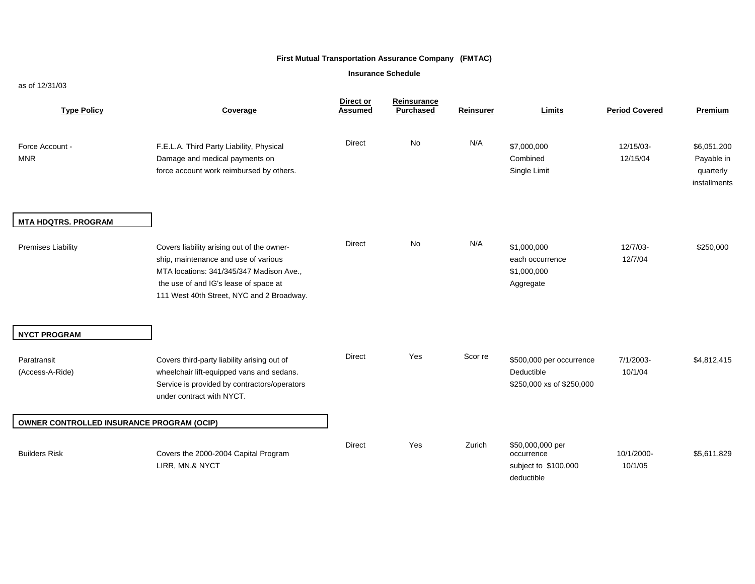#### **Insurance Schedule**

#### as of 12/31/03

| <b>Type Policy</b>                        | Coverage                                                                                                                                                                                                             | Direct or<br><b>Assumed</b> | Reinsurance<br><b>Purchased</b> | <b>Reinsurer</b> | Limits                                                               | <b>Period Covered</b> | <b>Premium</b>                                         |
|-------------------------------------------|----------------------------------------------------------------------------------------------------------------------------------------------------------------------------------------------------------------------|-----------------------------|---------------------------------|------------------|----------------------------------------------------------------------|-----------------------|--------------------------------------------------------|
| Force Account -<br><b>MNR</b>             | F.E.L.A. Third Party Liability, Physical<br>Damage and medical payments on<br>force account work reimbursed by others.                                                                                               | <b>Direct</b>               | <b>No</b>                       | N/A              | \$7,000,000<br>Combined<br>Single Limit                              | 12/15/03-<br>12/15/04 | \$6,051,200<br>Payable in<br>quarterly<br>installments |
| <b>MTA HDQTRS. PROGRAM</b>                |                                                                                                                                                                                                                      |                             |                                 |                  |                                                                      |                       |                                                        |
| <b>Premises Liability</b>                 | Covers liability arising out of the owner-<br>ship, maintenance and use of various<br>MTA locations: 341/345/347 Madison Ave.,<br>the use of and IG's lease of space at<br>111 West 40th Street, NYC and 2 Broadway. | <b>Direct</b>               | No                              | N/A              | \$1,000,000<br>each occurrence<br>\$1,000,000<br>Aggregate           | 12/7/03-<br>12/7/04   | \$250,000                                              |
| <b>NYCT PROGRAM</b>                       |                                                                                                                                                                                                                      |                             |                                 |                  |                                                                      |                       |                                                        |
| Paratransit<br>(Access-A-Ride)            | Covers third-party liability arising out of<br>wheelchair lift-equipped vans and sedans.<br>Service is provided by contractors/operators<br>under contract with NYCT.                                                | Direct                      | Yes                             | Scor re          | \$500,000 per occurrence<br>Deductible<br>\$250,000 xs of \$250,000  | 7/1/2003-<br>10/1/04  | \$4,812,415                                            |
| OWNER CONTROLLED INSURANCE PROGRAM (OCIP) |                                                                                                                                                                                                                      |                             |                                 |                  |                                                                      |                       |                                                        |
| <b>Builders Risk</b>                      | Covers the 2000-2004 Capital Program<br>LIRR, MN,& NYCT                                                                                                                                                              | <b>Direct</b>               | Yes                             | Zurich           | \$50,000,000 per<br>occurrence<br>subject to \$100,000<br>deductible | 10/1/2000-<br>10/1/05 | \$5,611,829                                            |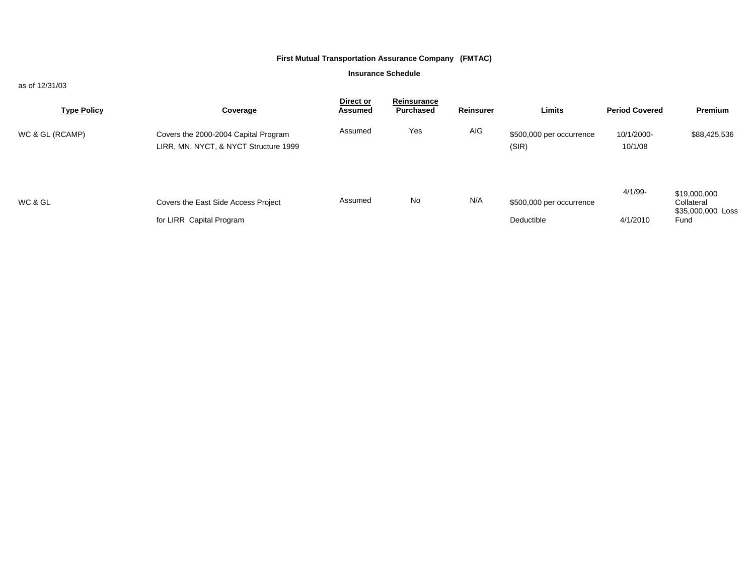#### **Insurance Schedule**

#### as of 12/31/03

| <b>Type Policy</b> | Coverage                                                                      | Direct or<br><b>Assumed</b> | Reinsurance<br><b>Purchased</b> | Reinsurer | <b>Limits</b>                          | <b>Period Covered</b>  | <b>Premium</b>                                          |
|--------------------|-------------------------------------------------------------------------------|-----------------------------|---------------------------------|-----------|----------------------------------------|------------------------|---------------------------------------------------------|
| WC & GL (RCAMP)    | Covers the 2000-2004 Capital Program<br>LIRR, MN, NYCT, & NYCT Structure 1999 | Assumed                     | Yes                             | AIG       | \$500,000 per occurrence<br>(SIR)      | 10/1/2000-<br>10/1/08  | \$88,425,536                                            |
| WC & GL            | Covers the East Side Access Project<br>for LIRR Capital Program               | Assumed                     | No                              | N/A       | \$500,000 per occurrence<br>Deductible | $4/1/99$ -<br>4/1/2010 | \$19,000,000<br>Collateral<br>\$35,000,000 Loss<br>Fund |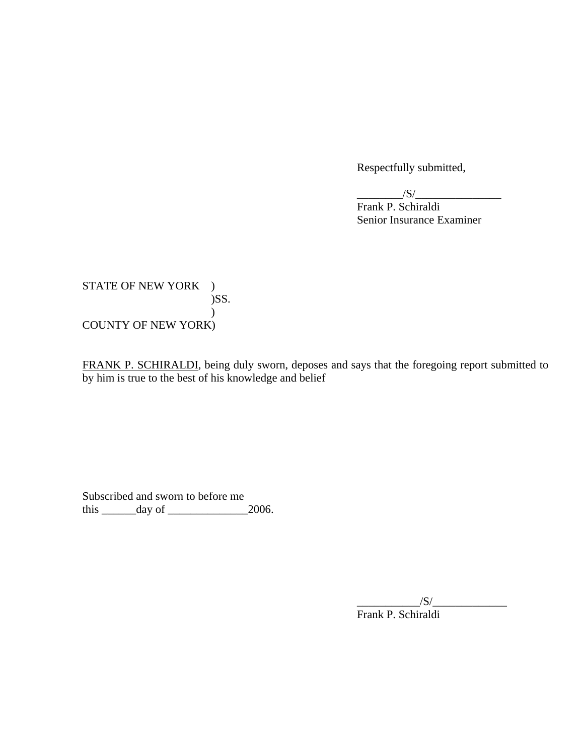Respectfully submitted,

 $/S/$ 

 Frank P. Schiraldi Senior Insurance Examiner

STATE OF NEW YORK ) )SS.  $\mathcal{L}$ COUNTY OF NEW YORK)

FRANK P. SCHIRALDI, being duly sworn, deposes and says that the foregoing report submitted to by him is true to the best of his knowledge and belief

Subscribed and sworn to before me this  $\_\_\_\_\_\_\$  day of  $\_\_\_\_\_\_\_2$  2006.

> $/S/$ Frank P. Schiraldi